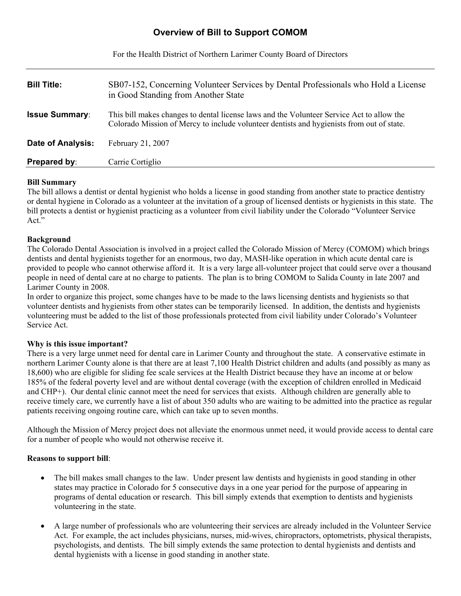# **Overview of Bill to Support COMOM**

For the Health District of Northern Larimer County Board of Directors

| <b>Bill Title:</b>       | SB07-152, Concerning Volunteer Services by Dental Professionals who Hold a License<br>in Good Standing from Another State                                                              |
|--------------------------|----------------------------------------------------------------------------------------------------------------------------------------------------------------------------------------|
| <b>Issue Summary:</b>    | This bill makes changes to dental license laws and the Volunteer Service Act to allow the<br>Colorado Mission of Mercy to include volunteer dentists and hygienists from out of state. |
| <b>Date of Analysis:</b> | February 21, 2007                                                                                                                                                                      |
| <b>Prepared by:</b>      | Carrie Cortiglio                                                                                                                                                                       |

## **Bill Summary**

The bill allows a dentist or dental hygienist who holds a license in good standing from another state to practice dentistry or dental hygiene in Colorado as a volunteer at the invitation of a group of licensed dentists or hygienists in this state. The bill protects a dentist or hygienist practicing as a volunteer from civil liability under the Colorado "Volunteer Service"  $Act.^{5}$ 

### **Background**

The Colorado Dental Association is involved in a project called the Colorado Mission of Mercy (COMOM) which brings dentists and dental hygienists together for an enormous, two day, MASH-like operation in which acute dental care is provided to people who cannot otherwise afford it. It is a very large all-volunteer project that could serve over a thousand people in need of dental care at no charge to patients. The plan is to bring COMOM to Salida County in late 2007 and Larimer County in 2008.

In order to organize this project, some changes have to be made to the laws licensing dentists and hygienists so that volunteer dentists and hygienists from other states can be temporarily licensed. In addition, the dentists and hygienists volunteering must be added to the list of those professionals protected from civil liability under Colorado's Volunteer Service Act.

### **Why is this issue important?**

There is a very large unmet need for dental care in Larimer County and throughout the state. A conservative estimate in northern Larimer County alone is that there are at least 7,100 Health District children and adults (and possibly as many as 18,600) who are eligible for sliding fee scale services at the Health District because they have an income at or below 185% of the federal poverty level and are without dental coverage (with the exception of children enrolled in Medicaid and CHP+). Our dental clinic cannot meet the need for services that exists. Although children are generally able to receive timely care, we currently have a list of about 350 adults who are waiting to be admitted into the practice as regular patients receiving ongoing routine care, which can take up to seven months.

Although the Mission of Mercy project does not alleviate the enormous unmet need, it would provide access to dental care for a number of people who would not otherwise receive it.

# **Reasons to support bill**:

- The bill makes small changes to the law. Under present law dentists and hygienists in good standing in other states may practice in Colorado for 5 consecutive days in a one year period for the purpose of appearing in programs of dental education or research. This bill simply extends that exemption to dentists and hygienists volunteering in the state.
- A large number of professionals who are volunteering their services are already included in the Volunteer Service Act. For example, the act includes physicians, nurses, mid-wives, chiropractors, optometrists, physical therapists, psychologists, and dentists. The bill simply extends the same protection to dental hygienists and dentists and dental hygienists with a license in good standing in another state.